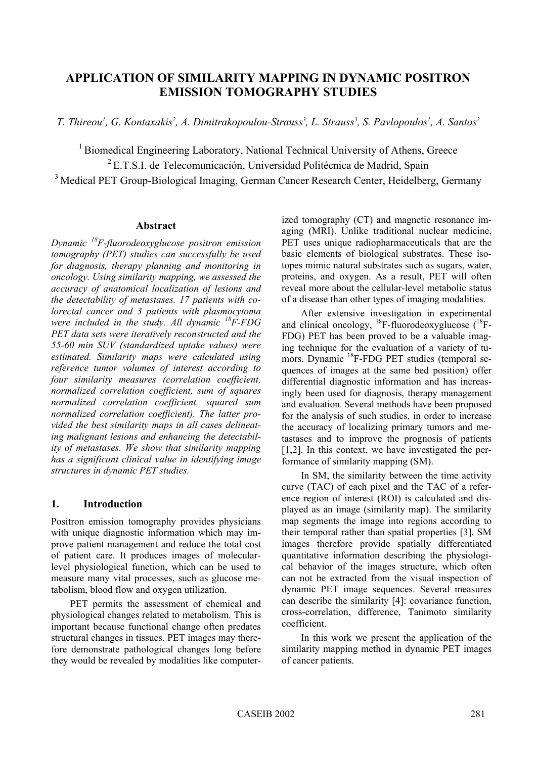# **APPLICATION OF SIMILARITY MAPPING IN DYNAMIC POSITRON EMISSION TOMOGRAPHY STUDIES**

*T. Thireou1 , G. Kontaxakis2 , A. Dimitrakopoulou-Strauss3 , L. Strauss3 , S. Pavlopoulos1 , A. Santos2*

<sup>1</sup> Biomedical Engineering Laboratory, National Technical University of Athens, Greece  ${}^{2}$ E.T.S.I. de Telecomunicación, Universidad Politécnica de Madrid, Spain <sup>3</sup> Medical PET Group-Biological Imaging, German Cancer Research Center, Heidelberg, Germany

# **Abstract**

*Dynamic 18F-fluorodeoxyglucose positron emission tomography (PET) studies can successfully be used for diagnosis, therapy planning and monitoring in oncology. Using similarity mapping, we assessed the accuracy of anatomical localization of lesions and the detectability of metastases. 17 patients with colorectal cancer and 3 patients with plasmocytoma were included in the study. All dynamic 18F-FDG PET data sets were iteratively reconstructed and the 55-60 min SUV (standardized uptake values) were estimated. Similarity maps were calculated using reference tumor volumes of interest according to four similarity measures (correlation coefficient, normalized correlation coefficient, sum of squares normalized correlation coefficient, squared sum normalized correlation coefficient). The latter provided the best similarity maps in all cases delineating malignant lesions and enhancing the detectability of metastases. We show that similarity mapping has a significant clinical value in identifying image structures in dynamic PET studies.* 

# **1. Introduction**

Positron emission tomography provides physicians with unique diagnostic information which may improve patient management and reduce the total cost of patient care. It produces images of molecularlevel physiological function, which can be used to measure many vital processes, such as glucose metabolism, blood flow and oxygen utilization.

PET permits the assessment of chemical and physiological changes related to metabolism. This is important because functional change often predates structural changes in tissues. PET images may therefore demonstrate pathological changes long before they would be revealed by modalities like computerized tomography (CT) and magnetic resonance imaging (MRI). Unlike traditional nuclear medicine, PET uses unique radiopharmaceuticals that are the basic elements of biological substrates. These isotopes mimic natural substrates such as sugars, water, proteins, and oxygen. As a result, PET will often reveal more about the cellular-level metabolic status of a disease than other types of imaging modalities.

After extensive investigation in experimental and clinical oncology,  $^{18}$ F-fluorodeoxyglucose ( $^{18}$ F-FDG) PET has been proved to be a valuable imaging technique for the evaluation of a variety of tumors. Dynamic 18F-FDG PET studies (temporal sequences of images at the same bed position) offer differential diagnostic information and has increasingly been used for diagnosis, therapy management and evaluation*.* Several methods have been proposed for the analysis of such studies, in order to increase the accuracy of localizing primary tumors and metastases and to improve the prognosis of patients [1,2]. In this context, we have investigated the performance of similarity mapping (SM).

In SM, the similarity between the time activity curve (TAC) of each pixel and the TAC of a reference region of interest (ROI) is calculated and displayed as an image (similarity map). The similarity map segments the image into regions according to their temporal rather than spatial properties [3]. SM images therefore provide spatially differentiated quantitative information describing the physiological behavior of the images structure, which often can not be extracted from the visual inspection of dynamic PET image sequences. Several measures can describe the similarity [4]: covariance function, cross-correlation, difference, Tanimoto similarity coefficient.

In this work we present the application of the similarity mapping method in dynamic PET images of cancer patients.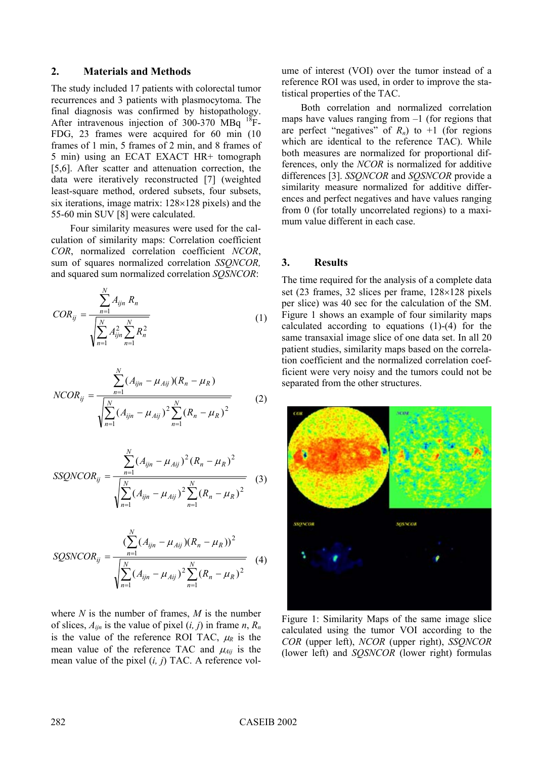## **2. Materials and Methods**

The study included 17 patients with colorectal tumor recurrences and 3 patients with plasmocytoma. The final diagnosis was confirmed by histopathology. After intravenous injection of 300-370 MBq <sup>18</sup>F-FDG, 23 frames were acquired for 60 min (10 frames of 1 min, 5 frames of 2 min, and 8 frames of 5 min) using an ECAT EXACT HR+ tomograph [5,6]. After scatter and attenuation correction, the data were iteratively reconstructed [7] (weighted least-square method, ordered subsets, four subsets, six iterations, image matrix: 128×128 pixels) and the 55-60 min SUV [8] were calculated.

Four similarity measures were used for the calculation of similarity maps: Correlation coefficient *COR*, normalized correlation coefficient *NCOR*, sum of squares normalized correlation *SSQNCOR,* and squared sum normalized correlation *SQSNCOR*:

$$
COR_{ij} = \frac{\sum_{n=1}^{N} A_{ijn} R_n}{\sqrt{\sum_{n=1}^{N} A_{ijn}^2 \sum_{n=1}^{N} R_n^2}}
$$
(1)

$$
NCOR_{ij} = \frac{\sum_{n=1}^{N} (A_{ijn} - \mu_{Aij})(R_n - \mu_R)}{\sqrt{\sum_{n=1}^{N} (A_{ijn} - \mu_{Aij})^2 \sum_{n=1}^{N} (R_n - \mu_R)^2}}
$$
(2)

$$
SSQNCOR_{ij} = \frac{\sum_{n=1}^{N} (A_{ijn} - \mu_{Aij})^2 (R_n - \mu_R)^2}{\sqrt{\sum_{n=1}^{N} (A_{ijn} - \mu_{Aij})^2 \sum_{n=1}^{N} (R_n - \mu_R)^2}}
$$
(3)

$$
SQSNCOR_{ij} = \frac{\left(\sum_{n=1}^{N} (A_{ijn} - \mu_{Aij})(R_n - \mu_R)\right)^2}{\sqrt{\sum_{n=1}^{N} (A_{ijn} - \mu_{Aij})^2 \sum_{n=1}^{N} (R_n - \mu_R)^2}}
$$
(4)

where *N* is the number of frames, *M* is the number of slices,  $A_{i\dot{n}}$  is the value of pixel  $(i, j)$  in frame  $n, R_n$ is the value of the reference ROI TAC,  $\mu_R$  is the mean value of the reference TAC and  $\mu_{Aij}$  is the mean value of the pixel (*i, j*) TAC. A reference volume of interest (VOI) over the tumor instead of a reference ROI was used, in order to improve the statistical properties of the TAC.

Both correlation and normalized correlation maps have values ranging from  $-1$  (for regions that are perfect "negatives" of  $R_n$ ) to  $+1$  (for regions which are identical to the reference TAC). While both measures are normalized for proportional differences, only the *NCOR* is normalized for additive differences [3]. *SSQNCOR* and *SQSNCOR* provide a similarity measure normalized for additive differences and perfect negatives and have values ranging from 0 (for totally uncorrelated regions) to a maximum value different in each case.

## **3. Results**

The time required for the analysis of a complete data set (23 frames, 32 slices per frame, 128×128 pixels per slice) was 40 sec for the calculation of the SM. Figure 1 shows an example of four similarity maps calculated according to equations (1)-(4) for the same transaxial image slice of one data set. In all 20 patient studies, similarity maps based on the correlation coefficient and the normalized correlation coefficient were very noisy and the tumors could not be separated from the other structures.



Figure 1: Similarity Maps of the same image slice calculated using the tumor VOI according to the *COR* (upper left), *NCOR* (upper right), *SSQNCOR* (lower left) and *SQSNCOR* (lower right) formulas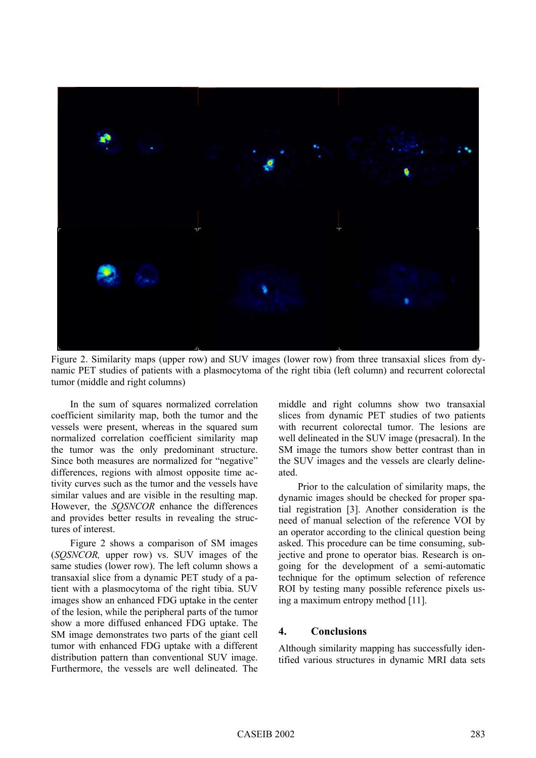

Figure 2. Similarity maps (upper row) and SUV images (lower row) from three transaxial slices from dynamic PET studies of patients with a plasmocytoma of the right tibia (left column) and recurrent colorectal tumor (middle and right columns)

In the sum of squares normalized correlation coefficient similarity map, both the tumor and the vessels were present, whereas in the squared sum normalized correlation coefficient similarity map the tumor was the only predominant structure. Since both measures are normalized for "negative" differences, regions with almost opposite time activity curves such as the tumor and the vessels have similar values and are visible in the resulting map. However, the *SQSNCOR* enhance the differences and provides better results in revealing the structures of interest.

Figure 2 shows a comparison of SM images (*SQSNCOR,* upper row) vs. SUV images of the same studies (lower row). The left column shows a transaxial slice from a dynamic PET study of a patient with a plasmocytoma of the right tibia. SUV images show an enhanced FDG uptake in the center of the lesion, while the peripheral parts of the tumor show a more diffused enhanced FDG uptake. The SM image demonstrates two parts of the giant cell tumor with enhanced FDG uptake with a different distribution pattern than conventional SUV image. Furthermore, the vessels are well delineated. The middle and right columns show two transaxial slices from dynamic PET studies of two patients with recurrent colorectal tumor. The lesions are well delineated in the SUV image (presacral). In the SM image the tumors show better contrast than in the SUV images and the vessels are clearly delineated.

Prior to the calculation of similarity maps, the dynamic images should be checked for proper spatial registration [3]. Another consideration is the need of manual selection of the reference VOI by an operator according to the clinical question being asked. This procedure can be time consuming, subjective and prone to operator bias. Research is ongoing for the development of a semi-automatic technique for the optimum selection of reference ROI by testing many possible reference pixels using a maximum entropy method [11].

#### **4. Conclusions**

Although similarity mapping has successfully identified various structures in dynamic MRI data sets